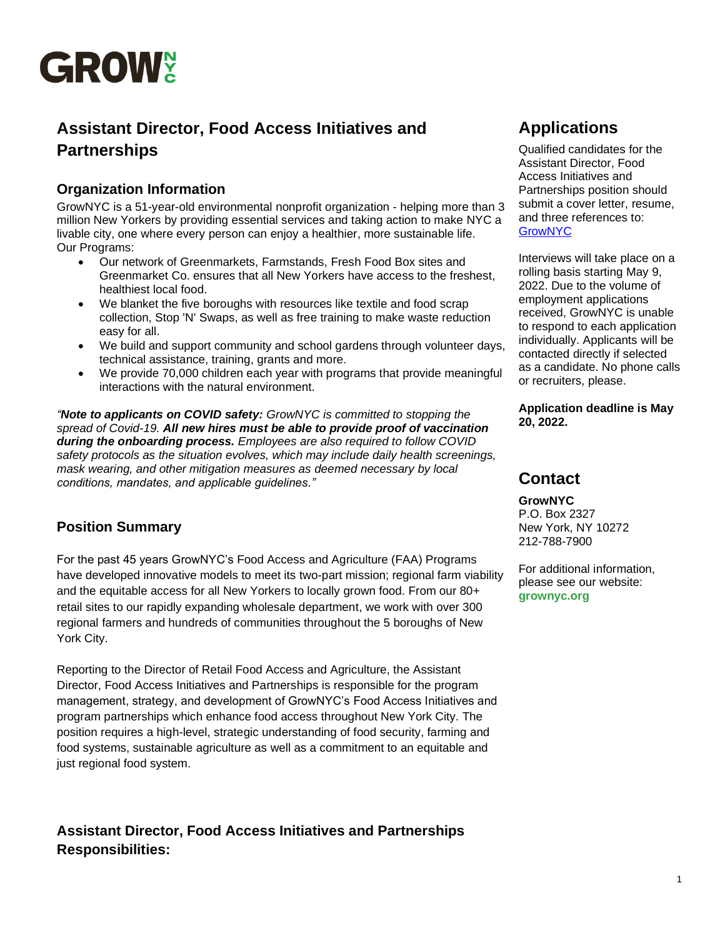

# **Assistant Director, Food Access Initiatives and Partnerships**

### **Organization Information**

GrowNYC is a 51-year-old environmental nonprofit organization - helping more than 3 million New Yorkers by providing essential services and taking action to make NYC a livable city, one where every person can enjoy a healthier, more sustainable life. Our Programs:

- Our network of Greenmarkets, Farmstands, Fresh Food Box sites and Greenmarket Co. ensures that all New Yorkers have access to the freshest, healthiest local food.
- We blanket the five boroughs with resources like textile and food scrap collection, Stop 'N' Swaps, as well as free training to make waste reduction easy for all.
- We build and support community and school gardens through volunteer days, technical assistance, training, grants and more.
- We provide 70,000 children each year with programs that provide meaningful interactions with the natural environment.

*"Note to applicants on COVID safety: GrowNYC is committed to stopping the spread of Covid-19. All new hires must be able to provide proof of vaccination during the onboarding process. Employees are also required to follow COVID safety protocols as the situation evolves, which may include daily health screenings, mask wearing, and other mitigation measures as deemed necessary by local conditions, mandates, and applicable guidelines."*

# **Position Summary**

For the past 45 years GrowNYC's Food Access and Agriculture (FAA) Programs have developed innovative models to meet its two-part mission; regional farm viability and the equitable access for all New Yorkers to locally grown food. From our 80+ retail sites to our rapidly expanding wholesale department, we work with over 300 regional farmers and hundreds of communities throughout the 5 boroughs of New York City.

Reporting to the Director of Retail Food Access and Agriculture, the Assistant Director, Food Access Initiatives and Partnerships is responsible for the program management, strategy, and development of GrowNYC's Food Access Initiatives and program partnerships which enhance food access throughout New York City. The position requires a high-level, strategic understanding of food security, farming and food systems, sustainable agriculture as well as a commitment to an equitable and just regional food system.

**Assistant Director, Food Access Initiatives and Partnerships Responsibilities:**

# **Applications**

Qualified candidates for the Assistant Director, Food Access Initiatives and Partnerships position should submit a cover letter, resume, and three references to: [GrowNYC](https://recruiting.paylocity.com/recruiting/jobs/Details/1063283/GrowNYC/Assistant-Director-Food-Access-Initiatives-and-Partnerships)

Interviews will take place on a rolling basis starting May 9, 2022. Due to the volume of employment applications received, GrowNYC is unable to respond to each application individually. Applicants will be contacted directly if selected as a candidate. No phone calls or recruiters, please.

**Application deadline is May 20, 2022.**

# **Contact**

# **GrowNYC**

P.O. Box 2327 New York, NY 10272 212-788-7900

For additional information, please see our website: **grownyc.org**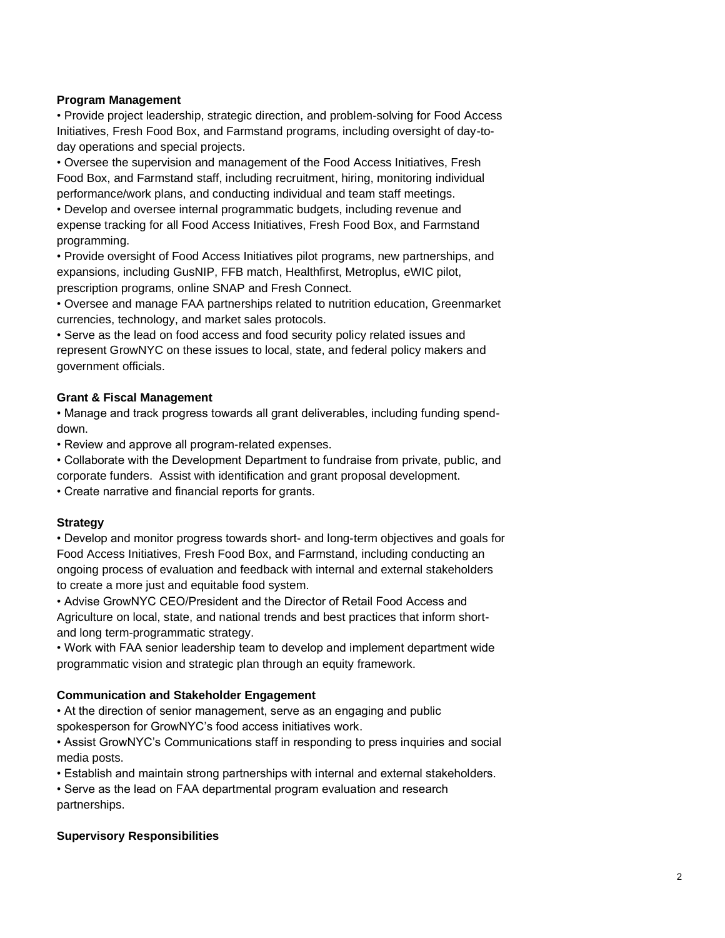#### **Program Management**

• Provide project leadership, strategic direction, and problem-solving for Food Access Initiatives, Fresh Food Box, and Farmstand programs, including oversight of day-today operations and special projects.

• Oversee the supervision and management of the Food Access Initiatives, Fresh Food Box, and Farmstand staff, including recruitment, hiring, monitoring individual performance/work plans, and conducting individual and team staff meetings.

• Develop and oversee internal programmatic budgets, including revenue and expense tracking for all Food Access Initiatives, Fresh Food Box, and Farmstand programming.

• Provide oversight of Food Access Initiatives pilot programs, new partnerships, and expansions, including GusNIP, FFB match, Healthfirst, Metroplus, eWIC pilot, prescription programs, online SNAP and Fresh Connect.

• Oversee and manage FAA partnerships related to nutrition education, Greenmarket currencies, technology, and market sales protocols.

• Serve as the lead on food access and food security policy related issues and represent GrowNYC on these issues to local, state, and federal policy makers and government officials.

#### **Grant & Fiscal Management**

• Manage and track progress towards all grant deliverables, including funding spenddown.

• Review and approve all program-related expenses.

• Collaborate with the Development Department to fundraise from private, public, and corporate funders. Assist with identification and grant proposal development.

• Create narrative and financial reports for grants.

#### **Strategy**

• Develop and monitor progress towards short- and long-term objectives and goals for Food Access Initiatives, Fresh Food Box, and Farmstand, including conducting an ongoing process of evaluation and feedback with internal and external stakeholders to create a more just and equitable food system.

• Advise GrowNYC CEO/President and the Director of Retail Food Access and Agriculture on local, state, and national trends and best practices that inform shortand long term-programmatic strategy.

• Work with FAA senior leadership team to develop and implement department wide programmatic vision and strategic plan through an equity framework.

#### **Communication and Stakeholder Engagement**

• At the direction of senior management, serve as an engaging and public spokesperson for GrowNYC's food access initiatives work.

• Assist GrowNYC's Communications staff in responding to press inquiries and social media posts.

• Establish and maintain strong partnerships with internal and external stakeholders.

• Serve as the lead on FAA departmental program evaluation and research partnerships.

#### **Supervisory Responsibilities**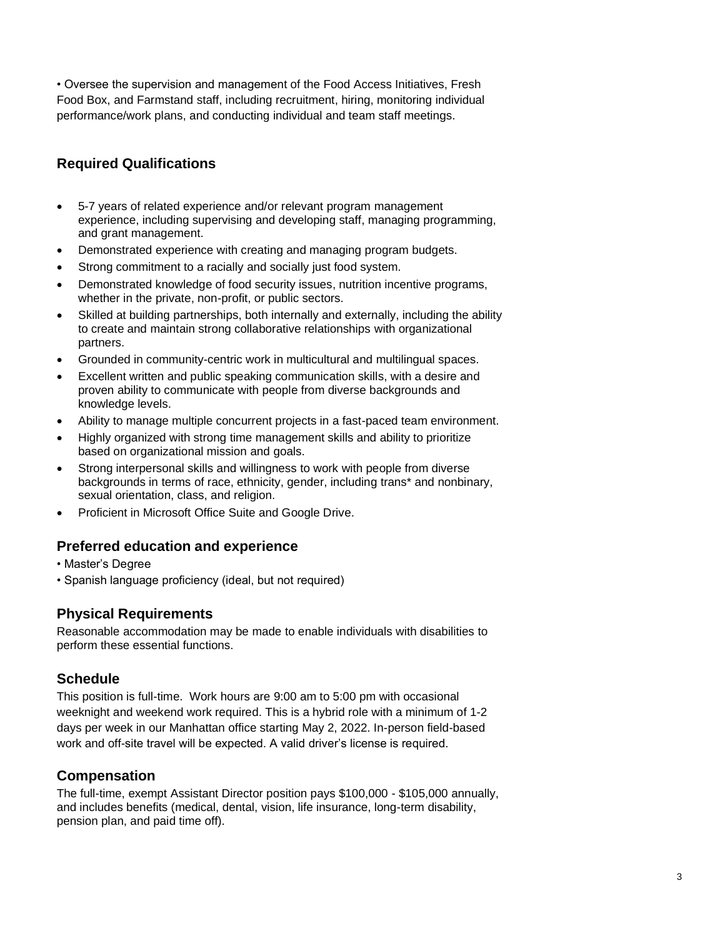• Oversee the supervision and management of the Food Access Initiatives, Fresh Food Box, and Farmstand staff, including recruitment, hiring, monitoring individual performance/work plans, and conducting individual and team staff meetings.

## **Required Qualifications**

- 5-7 years of related experience and/or relevant program management experience, including supervising and developing staff, managing programming, and grant management.
- Demonstrated experience with creating and managing program budgets.
- Strong commitment to a racially and socially just food system.
- Demonstrated knowledge of food security issues, nutrition incentive programs, whether in the private, non-profit, or public sectors.
- Skilled at building partnerships, both internally and externally, including the ability to create and maintain strong collaborative relationships with organizational partners.
- Grounded in community-centric work in multicultural and multilingual spaces.
- Excellent written and public speaking communication skills, with a desire and proven ability to communicate with people from diverse backgrounds and knowledge levels.
- Ability to manage multiple concurrent projects in a fast-paced team environment.
- Highly organized with strong time management skills and ability to prioritize based on organizational mission and goals.
- Strong interpersonal skills and willingness to work with people from diverse backgrounds in terms of race, ethnicity, gender, including trans\* and nonbinary, sexual orientation, class, and religion.
- Proficient in Microsoft Office Suite and Google Drive.

### **Preferred education and experience**

- Master's Degree
- Spanish language proficiency (ideal, but not required)

### **Physical Requirements**

Reasonable accommodation may be made to enable individuals with disabilities to perform these essential functions.

### **Schedule**

This position is full-time. Work hours are 9:00 am to 5:00 pm with occasional weeknight and weekend work required. This is a hybrid role with a minimum of 1-2 days per week in our Manhattan office starting May 2, 2022. In-person field-based work and off-site travel will be expected. A valid driver's license is required.

### **Compensation**

The full-time, exempt Assistant Director position pays \$100,000 - \$105,000 annually, and includes benefits (medical, dental, vision, life insurance, long-term disability, pension plan, and paid time off).